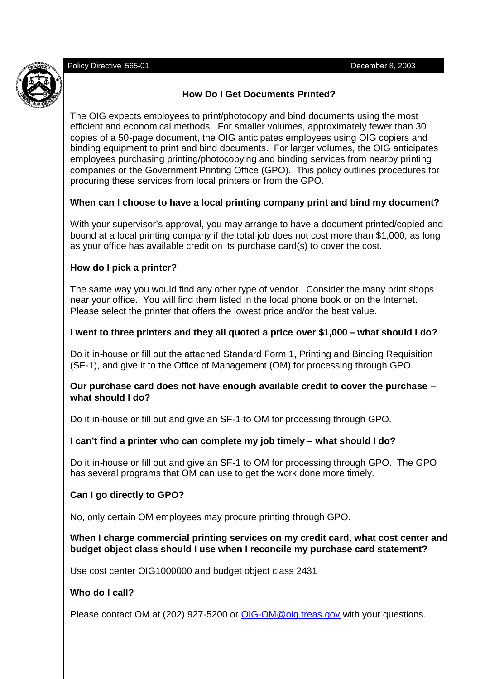Policy Directive 565-01 December 8, 2003



# **How Do I Get Documents Printed?**

The OIG expects employees to print/photocopy and bind documents using the most efficient and economical methods. For smaller volumes, approximately fewer than 30 copies of a 50-page document, the OIG anticipates employees using OIG copiers and binding equipment to print and bind documents. For larger volumes, the OIG anticipates employees purchasing printing/photocopying and binding services from nearby printing companies or the Government Printing Office (GPO). This policy outlines procedures for procuring these services from local printers or from the GPO.

## **When can I choose to have a local printing company print and bind my document?**

With your supervisor's approval, you may arrange to have a document printed/copied and bound at a local printing company if the total job does not cost more than \$1,000, as long as your office has available credit on its purchase card(s) to cover the cost.

### **How do I pick a printer?**

The same way you would find any other type of vendor. Consider the many print shops near your office. You will find them listed in the local phone book or on the Internet. Please select the printer that offers the lowest price and/or the best value.

## **I went to three printers and they all quoted a price over \$1,000 – what should I do?**

Do it in-house or fill out the attached Standard Form 1, Printing and Binding Requisition (SF-1), and give it to the Office of Management (OM) for processing through GPO.

### **Our purchase card does not have enough available credit to cover the purchase – what should I do?**

Do it in-house or fill out and give an SF-1 to OM for processing through GPO.

### **I can't find a printer who can complete my job timely – what should I do?**

Do it in-house or fill out and give an SF-1 to OM for processing through GPO. The GPO has several programs that OM can use to get the work done more timely.

### **Can I go directly to GPO?**

No, only certain OM employees may procure printing through GPO.

### **When I charge commercial printing services on my credit card, what cost center and budget object class should I use when I reconcile my purchase card statement?**

Use cost center OIG1000000 and budget object class 2431

# **Who do I call?**

Please contact OM at (202) 927-5200 or OIG-OM@oig.treas.gov with your questions.